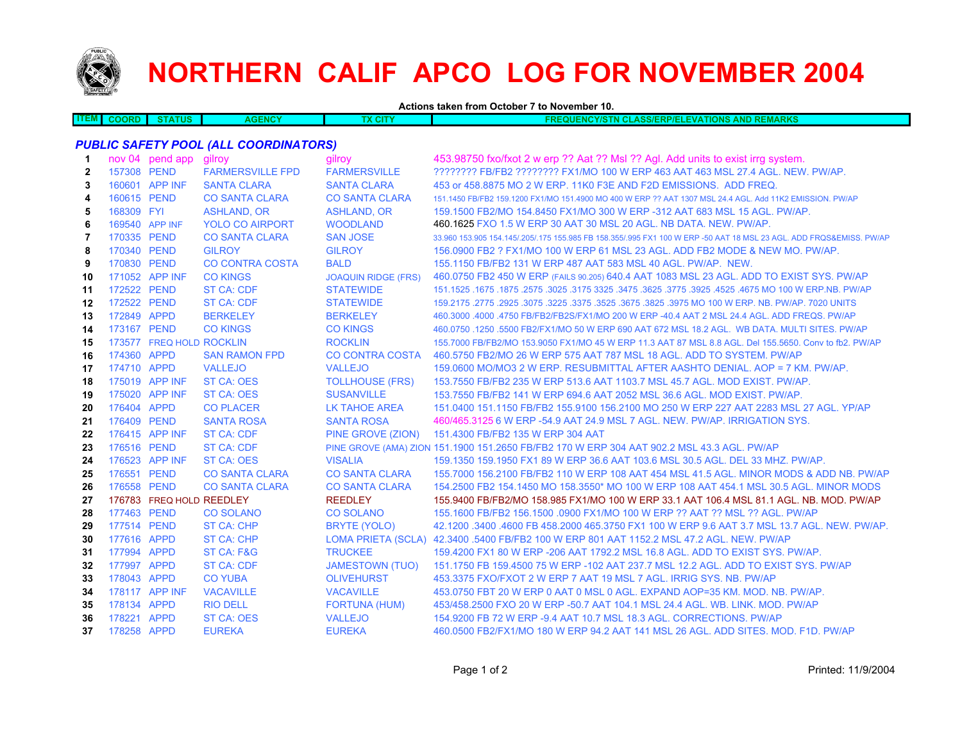

## **NORTHERN CALIF APCO LOG FOR NOVEMBER 2004**

**Actions taken from October 7 to November 10.**

| ------ | orn | <b>ATUS</b> | <b>TALASE</b><br>GENG. | <b>CITY</b> | $-11.0017$<br><b>AVM</b><br>וווכ<br><b>LASS/ERP/EL</b><br>$\cdots$<br>TIONS<br><b>AND</b><br><u>ZMARNJ</u><br>1.5118.1.1<br>wuxi<br>m |
|--------|-----|-------------|------------------------|-------------|---------------------------------------------------------------------------------------------------------------------------------------|
|        |     |             |                        |             |                                                                                                                                       |

## *PUBLIC SAFETY POOL (ALL COORDINATORS)*

| 1              |                | nov 04 pend app          | gilroy                  | gilroy                     | 453.98750 fxo/fxot 2 w erp ?? Aat ?? Msl ?? Agl. Add units to exist irrg system.                                    |
|----------------|----------------|--------------------------|-------------------------|----------------------------|---------------------------------------------------------------------------------------------------------------------|
| $\mathbf{2}$   | 157308 PEND    |                          | <b>FARMERSVILLE FPD</b> | <b>FARMERSVILLE</b>        | ???????? FB/FB2 ??????? FX1/MO 100 W ERP 463 AAT 463 MSL 27.4 AGL. NEW. PW/AP.                                      |
| 3              |                | 160601 APP INF           | <b>SANTA CLARA</b>      | <b>SANTA CLARA</b>         | 453 or 458,8875 MO 2 W ERP, 11K0 F3E AND F2D EMISSIONS. ADD FREQ.                                                   |
| 4              | 160615 PEND    |                          | <b>CO SANTA CLARA</b>   | <b>CO SANTA CLARA</b>      | 151.1450 FB/FB2 159.1200 FX1/MO 151.4900 MO 400 W ERP ?? AAT 1307 MSL 24.4 AGL, Add 11K2 EMISSION, PW/AP            |
| 5              | 168309 FYI     |                          | <b>ASHLAND, OR</b>      | <b>ASHLAND, OR</b>         | 159.1500 FB2/MO 154.8450 FX1/MO 300 W ERP -312 AAT 683 MSL 15 AGL, PW/AP.                                           |
| 6              | 169540 APP INF |                          | <b>YOLO CO AIRPORT</b>  | <b>WOODLAND</b>            | 460.1625 FXO 1.5 W ERP 30 AAT 30 MSL 20 AGL, NB DATA, NEW, PW/AP.                                                   |
| $\overline{7}$ | 170335 PEND    |                          | <b>CO SANTA CLARA</b>   | <b>SAN JOSE</b>            | 33,960 153,905 154,145/,205/,175 155,985 FB 158,355/,995 FX1 100 W ERP -50 AAT 18 MSL 23 AGL, ADD FRQS&EMISS, PW/AP |
| 8              | 170340 PEND    |                          | <b>GILROY</b>           | <b>GILROY</b>              | 156,0900 FB2 ? FX1/MO 100 W ERP 61 MSL 23 AGL, ADD FB2 MODE & NEW MO, PW/AP,                                        |
| 9              | 170830 PEND    |                          | <b>CO CONTRA COSTA</b>  | <b>BALD</b>                | 155.1150 FB/FB2 131 W ERP 487 AAT 583 MSL 40 AGL, PW/AP. NEW.                                                       |
| 10             |                | 171052 APP INF           | <b>CO KINGS</b>         | <b>JOAQUIN RIDGE (FRS)</b> | 460.0750 FB2 450 W ERP (FAILS 90.205) 640.4 AAT 1083 MSL 23 AGL. ADD TO EXIST SYS. PW/AP                            |
| 11             | 172522 PEND    |                          | <b>ST CA: CDF</b>       | <b>STATEWIDE</b>           | 151.1525 .1675 .1675 .3625 .3625 .3775 .3925 .3925 .3775 .3925 .3775 .3625 .3625 .1675 .1675 .1679 .1679 .167       |
| 12             | 172522 PEND    |                          | <b>ST CA: CDF</b>       | <b>STATEWIDE</b>           | 159.2175 .2775 .2925 .3075 .3225 .3375 .3525 .3675 .3825 .3975 MO 100 W ERP. NB. PW/AP. 7020 UNITS                  |
| 13             | 172849 APPD    |                          | <b>BERKELEY</b>         | <b>BERKELEY</b>            | 460,3000 .4000 .4750 FB/FB2/FB2S/FX1/MO 200 W ERP -40.4 AAT 2 MSL 24.4 AGL, ADD FREQS, PW/AP                        |
| 14             | 173167 PEND    |                          | <b>CO KINGS</b>         | <b>CO KINGS</b>            | 460.0750 .1250 .5500 FB2/FX1/MO 50 W ERP 690 AAT 672 MSL 18.2 AGL. WB DATA, MULTI SITES, PW/AP                      |
| 15             |                | 173577 FREQ HOLD ROCKLIN |                         | <b>ROCKLIN</b>             | 155,7000 FB/FB2/MO 153,9050 FX1/MO 45 W ERP 11.3 AAT 87 MSL 8.8 AGL, Del 155,5650, Conv to fb2, PW/AP               |
| 16             | 174360 APPD    |                          | <b>SAN RAMON FPD</b>    | <b>CO CONTRA COSTA</b>     | 460.5750 FB2/MO 26 W ERP 575 AAT 787 MSL 18 AGL, ADD TO SYSTEM, PW/AP                                               |
| 17             | 174710 APPD    |                          | <b>VALLEJO</b>          | <b>VALLEJO</b>             | 159,0600 MO/MO3 2 W ERP. RESUBMITTAL AFTER AASHTO DENIAL, AOP = 7 KM, PW/AP.                                        |
| 18             |                | 175019 APP INF           | ST CA: OES              | <b>TOLLHOUSE (FRS)</b>     | 153.7550 FB/FB2 235 W ERP 513.6 AAT 1103.7 MSL 45.7 AGL, MOD EXIST, PW/AP.                                          |
| 19             |                | 175020 APP INF           | <b>ST CA: OES</b>       | <b>SUSANVILLE</b>          | 153.7550 FB/FB2 141 W ERP 694.6 AAT 2052 MSL 36.6 AGL, MOD EXIST, PW/AP.                                            |
| 20             | 176404 APPD    |                          | <b>CO PLACER</b>        | <b>LK TAHOE AREA</b>       | 151.0400 151.1150 FB/FB2 155.9100 156.2100 MO 250 W ERP 227 AAT 2283 MSL 27 AGL, YP/AP                              |
| 21             | 176409 PEND    |                          | <b>SANTA ROSA</b>       | <b>SANTA ROSA</b>          | 460/465.3125 6 W ERP -54.9 AAT 24.9 MSL 7 AGL. NEW. PW/AP. IRRIGATION SYS.                                          |
| 22             |                | 176415 APP INF           | <b>ST CA: CDF</b>       | PINE GROVE (ZION)          | 151.4300 FB/FB2 135 W ERP 304 AAT                                                                                   |
| 23             | 176516 PEND    |                          | <b>ST CA: CDF</b>       |                            | PINE GROVE (AMA) ZION 151.1900 151.2650 FB/FB2 170 W ERP 304 AAT 902.2 MSL 43.3 AGL. PW/AP                          |
| 24             |                | 176523 APP INF           | ST CA: OES              | <b>VISALIA</b>             | 159.1350 159.1950 FX1 89 W ERP 36.6 AAT 103.6 MSL 30.5 AGL, DEL 33 MHZ, PW/AP,                                      |
| 25             | 176551 PEND    |                          | <b>CO SANTA CLARA</b>   | <b>CO SANTA CLARA</b>      | 155,7000 156,2100 FB/FB2 110 W ERP 108 AAT 454 MSL 41.5 AGL, MINOR MODS & ADD NB, PW/AP                             |
| 26             | 176558 PEND    |                          | <b>CO SANTA CLARA</b>   | <b>CO SANTA CLARA</b>      | 154,2500 FB2 154,1450 MO 158,3550* MO 100 W ERP 108 AAT 454,1 MSL 30.5 AGL. MINOR MODS                              |
| 27             |                | 176783 FREQ HOLD REEDLEY |                         | <b>REEDLEY</b>             | 155,9400 FB/FB2/MO 158,985 FX1/MO 100 W ERP 33.1 AAT 106.4 MSL 81.1 AGL, NB, MOD, PW/AP                             |
| 28             | 177463 PEND    |                          | <b>CO SOLANO</b>        | <b>CO SOLANO</b>           | 155.1600 FB/FB2 156.1500 .0900 FX1/MO 100 W ERP ?? AAT ?? MSL ?? AGL. PW/AP                                         |
| 29             | 177514 PEND    |                          | <b>ST CA: CHP</b>       | <b>BRYTE (YOLO)</b>        | 42.1200 .3400 .4600 FB 458.2000 465.3750 FX1 100 W ERP 9.6 AAT 3.7 MSL 13.7 AGL, NEW, PW/AP,                        |
| 30             | 177616 APPD    |                          | ST CA: CHP              |                            | LOMA PRIETA (SCLA) 42.3400 .5400 FB/FB2 100 W ERP 801 AAT 1152.2 MSL 47.2 AGL. NEW. PW/AP                           |
| 31             | 177994 APPD    |                          | ST CA: F&G              | <b>TRUCKEE</b>             | 159,4200 FX1 80 W ERP - 206 AAT 1792.2 MSL 16.8 AGL, ADD TO EXIST SYS, PW/AP.                                       |
| 32             | 177997 APPD    |                          | <b>ST CA: CDF</b>       | <b>JAMESTOWN (TUO)</b>     | 151.1750 FB 159.4500 75 W ERP -102 AAT 237.7 MSL 12.2 AGL, ADD TO EXIST SYS, PW/AP                                  |
| 33             | 178043 APPD    |                          | <b>CO YUBA</b>          | <b>OLIVEHURST</b>          | 453.3375 FXO/FXOT 2 W ERP 7 AAT 19 MSL 7 AGL. IRRIG SYS, NB, PW/AP                                                  |
| 34             |                | 178117 APP INF           | <b>VACAVILLE</b>        | <b>VACAVILLE</b>           | 453.0750 FBT 20 W ERP 0 AAT 0 MSL 0 AGL, EXPAND AOP=35 KM, MOD, NB, PW/AP,                                          |
| 35             | 178134 APPD    |                          | <b>RIO DELL</b>         | <b>FORTUNA (HUM)</b>       | 453/458.2500 FXO 20 W ERP -50.7 AAT 104.1 MSL 24.4 AGL, WB, LINK, MOD, PW/AP                                        |
| 36             | 178221 APPD    |                          | ST CA: OES              | <b>VALLEJO</b>             | 154,9200 FB 72 W ERP -9.4 AAT 10.7 MSL 18.3 AGL, CORRECTIONS, PW/AP                                                 |
| 37             | 178258 APPD    |                          | <b>EUREKA</b>           | <b>EUREKA</b>              | 460,0500 FB2/FX1/MO 180 W ERP 94.2 AAT 141 MSL 26 AGL, ADD SITES, MOD, F1D, PW/AP                                   |
|                |                |                          |                         |                            |                                                                                                                     |